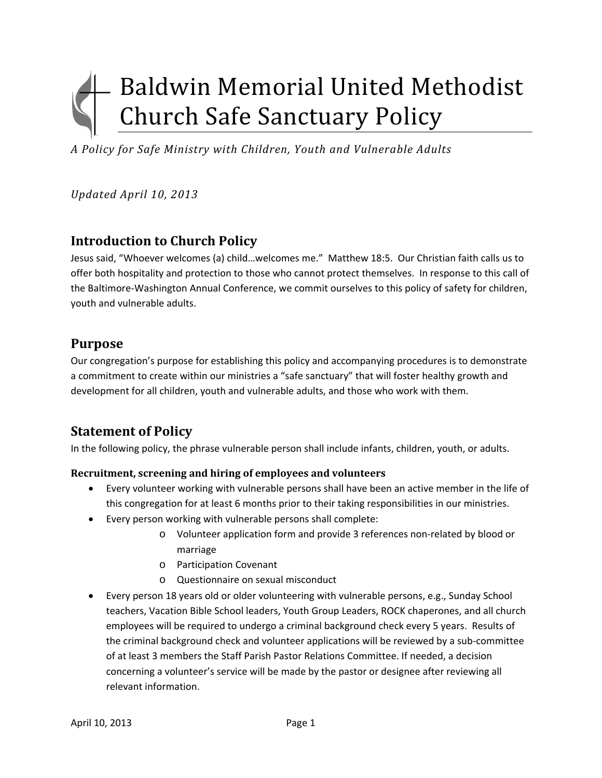# Baldwin Memorial United Methodist **Church Safe Sanctuary Policy**

*A Policy for Safe Ministry with Children, Youth and Vulnerable Adults*

*Updated April 10, 2013*

# **Introduction to Church Policy**

Jesus said, "Whoever welcomes (a) child…welcomes me." Matthew 18:5. Our Christian faith calls us to offer both hospitality and protection to those who cannot protect themselves. In response to this call of the Baltimore‐Washington Annual Conference, we commit ourselves to this policy of safety for children, youth and vulnerable adults.

## **Purpose**

Our congregation's purpose for establishing this policy and accompanying procedures is to demonstrate a commitment to create within our ministries a "safe sanctuary" that will foster healthy growth and development for all children, youth and vulnerable adults, and those who work with them.

# **Statement of Policy**

In the following policy, the phrase vulnerable person shall include infants, children, youth, or adults.

#### **Recruitment, screening and hiring of employees and volunteers**

- Every volunteer working with vulnerable persons shall have been an active member in the life of this congregation for at least 6 months prior to their taking responsibilities in our ministries.
- Every person working with vulnerable persons shall complete:
	- o Volunteer application form and provide 3 references non‐related by blood or marriage
	- o Participation Covenant
	- o Questionnaire on sexual misconduct
- Every person 18 years old or older volunteering with vulnerable persons, e.g., Sunday School teachers, Vacation Bible School leaders, Youth Group Leaders, ROCK chaperones, and all church employees will be required to undergo a criminal background check every 5 years. Results of the criminal background check and volunteer applications will be reviewed by a sub-committee of at least 3 members the Staff Parish Pastor Relations Committee. If needed, a decision concerning a volunteer's service will be made by the pastor or designee after reviewing all relevant information.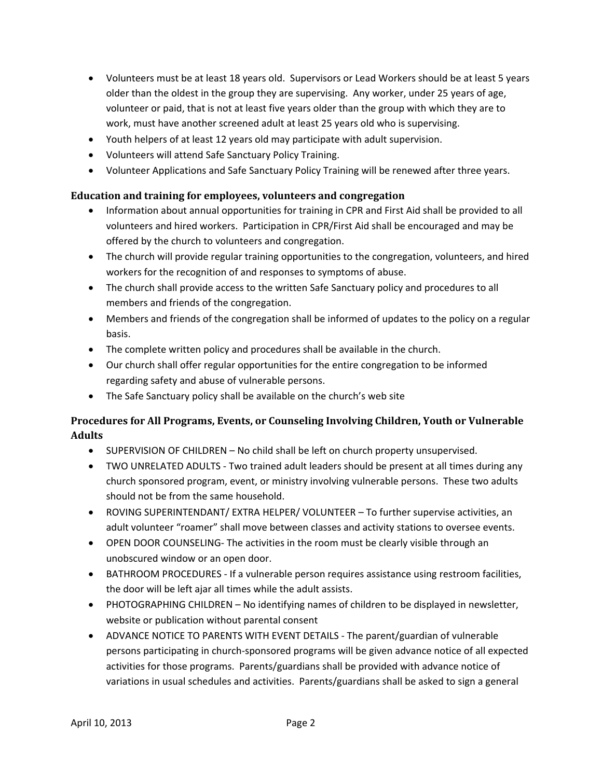- Volunteers must be at least 18 years old. Supervisors or Lead Workers should be at least 5 years older than the oldest in the group they are supervising. Any worker, under 25 years of age, volunteer or paid, that is not at least five years older than the group with which they are to work, must have another screened adult at least 25 years old who is supervising.
- Youth helpers of at least 12 years old may participate with adult supervision.
- Volunteers will attend Safe Sanctuary Policy Training.
- Volunteer Applications and Safe Sanctuary Policy Training will be renewed after three years.

#### **Education and training for employees, volunteers and congregation**

- Information about annual opportunities for training in CPR and First Aid shall be provided to all volunteers and hired workers. Participation in CPR/First Aid shall be encouraged and may be offered by the church to volunteers and congregation.
- The church will provide regular training opportunities to the congregation, volunteers, and hired workers for the recognition of and responses to symptoms of abuse.
- The church shall provide access to the written Safe Sanctuary policy and procedures to all members and friends of the congregation.
- Members and friends of the congregation shall be informed of updates to the policy on a regular basis.
- The complete written policy and procedures shall be available in the church.
- Our church shall offer regular opportunities for the entire congregation to be informed regarding safety and abuse of vulnerable persons.
- The Safe Sanctuary policy shall be available on the church's web site

### **Procedures for All Programs, Events, or Counseling Involving Children, Youth or Vulnerable Adults**

- SUPERVISION OF CHILDREN No child shall be left on church property unsupervised.
- TWO UNRELATED ADULTS Two trained adult leaders should be present at all times during any church sponsored program, event, or ministry involving vulnerable persons. These two adults should not be from the same household.
- ROVING SUPERINTENDANT/ EXTRA HELPER/ VOLUNTEER To further supervise activities, an adult volunteer "roamer" shall move between classes and activity stations to oversee events.
- OPEN DOOR COUNSELING- The activities in the room must be clearly visible through an unobscured window or an open door.
- BATHROOM PROCEDURES If a vulnerable person requires assistance using restroom facilities, the door will be left ajar all times while the adult assists.
- PHOTOGRAPHING CHILDREN No identifying names of children to be displayed in newsletter, website or publication without parental consent
- ADVANCE NOTICE TO PARENTS WITH EVENT DETAILS ‐ The parent/guardian of vulnerable persons participating in church‐sponsored programs will be given advance notice of all expected activities for those programs. Parents/guardians shall be provided with advance notice of variations in usual schedules and activities. Parents/guardians shall be asked to sign a general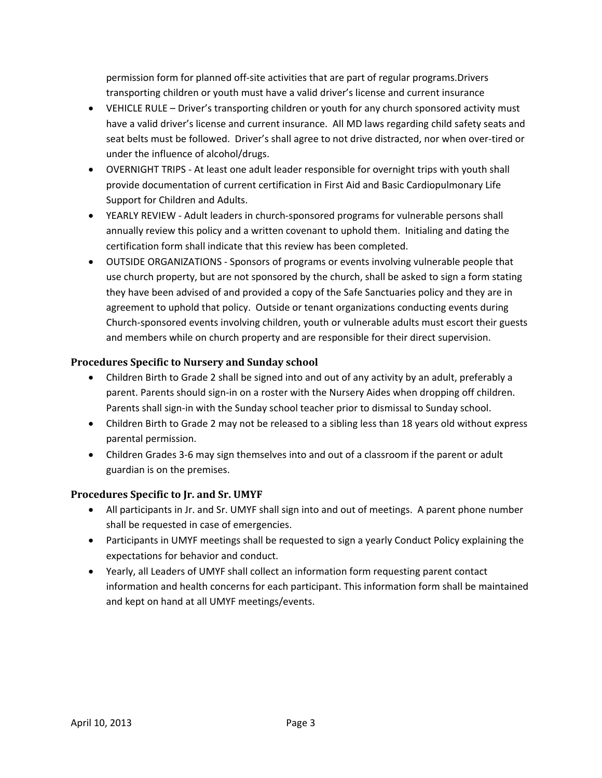permission form for planned off‐site activities that are part of regular programs.Drivers transporting children or youth must have a valid driver's license and current insurance

- VEHICLE RULE Driver's transporting children or youth for any church sponsored activity must have a valid driver's license and current insurance. All MD laws regarding child safety seats and seat belts must be followed. Driver's shall agree to not drive distracted, nor when over‐tired or under the influence of alcohol/drugs.
- OVERNIGHT TRIPS At least one adult leader responsible for overnight trips with youth shall provide documentation of current certification in First Aid and Basic Cardiopulmonary Life Support for Children and Adults.
- YEARLY REVIEW Adult leaders in church-sponsored programs for vulnerable persons shall annually review this policy and a written covenant to uphold them. Initialing and dating the certification form shall indicate that this review has been completed.
- OUTSIDE ORGANIZATIONS Sponsors of programs or events involving vulnerable people that use church property, but are not sponsored by the church, shall be asked to sign a form stating they have been advised of and provided a copy of the Safe Sanctuaries policy and they are in agreement to uphold that policy. Outside or tenant organizations conducting events during Church‐sponsored events involving children, youth or vulnerable adults must escort their guests and members while on church property and are responsible for their direct supervision.

#### **Procedures Specific to Nursery and Sunday school**

- Children Birth to Grade 2 shall be signed into and out of any activity by an adult, preferably a parent. Parents should sign-in on a roster with the Nursery Aides when dropping off children. Parents shall sign‐in with the Sunday school teacher prior to dismissal to Sunday school.
- Children Birth to Grade 2 may not be released to a sibling less than 18 years old without express parental permission.
- Children Grades 3‐6 may sign themselves into and out of a classroom if the parent or adult guardian is on the premises.

#### **Procedures Specific to Jr. and Sr. UMYF**

- All participants in Jr. and Sr. UMYF shall sign into and out of meetings. A parent phone number shall be requested in case of emergencies.
- Participants in UMYF meetings shall be requested to sign a yearly Conduct Policy explaining the expectations for behavior and conduct.
- Yearly, all Leaders of UMYF shall collect an information form requesting parent contact information and health concerns for each participant. This information form shall be maintained and kept on hand at all UMYF meetings/events.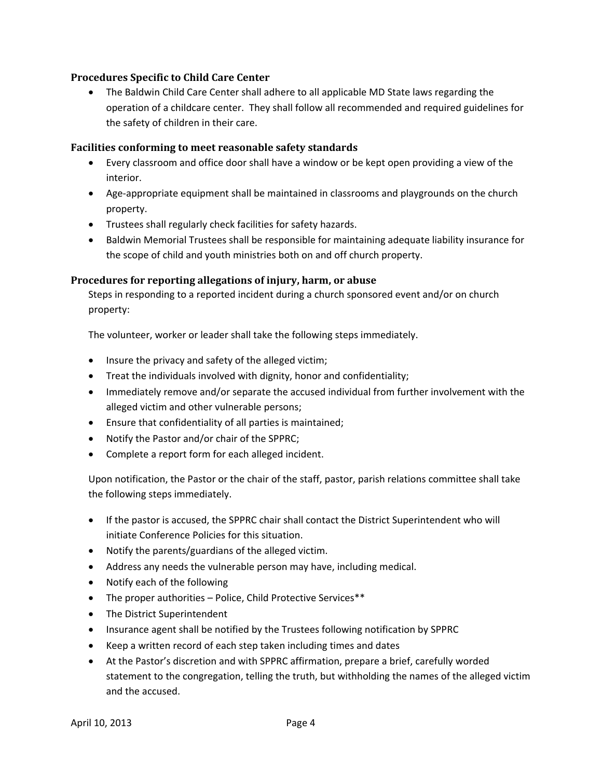#### **Procedures Specific to Child Care Center**

 The Baldwin Child Care Center shall adhere to all applicable MD State laws regarding the operation of a childcare center. They shall follow all recommended and required guidelines for the safety of children in their care.

#### **Facilities conforming to meet reasonable safety standards**

- Every classroom and office door shall have a window or be kept open providing a view of the interior.
- Age-appropriate equipment shall be maintained in classrooms and playgrounds on the church property.
- Trustees shall regularly check facilities for safety hazards.
- Baldwin Memorial Trustees shall be responsible for maintaining adequate liability insurance for the scope of child and youth ministries both on and off church property.

#### **Procedures for reporting allegations of injury, harm, or abuse**

Steps in responding to a reported incident during a church sponsored event and/or on church property:

The volunteer, worker or leader shall take the following steps immediately.

- Insure the privacy and safety of the alleged victim;
- Treat the individuals involved with dignity, honor and confidentiality;
- Immediately remove and/or separate the accused individual from further involvement with the alleged victim and other vulnerable persons;
- Ensure that confidentiality of all parties is maintained;
- Notify the Pastor and/or chair of the SPPRC;
- Complete a report form for each alleged incident.

Upon notification, the Pastor or the chair of the staff, pastor, parish relations committee shall take the following steps immediately.

- If the pastor is accused, the SPPRC chair shall contact the District Superintendent who will initiate Conference Policies for this situation.
- Notify the parents/guardians of the alleged victim.
- Address any needs the vulnerable person may have, including medical.
- Notify each of the following
- The proper authorities Police, Child Protective Services\*\*
- The District Superintendent
- Insurance agent shall be notified by the Trustees following notification by SPPRC
- Keep a written record of each step taken including times and dates
- At the Pastor's discretion and with SPPRC affirmation, prepare a brief, carefully worded statement to the congregation, telling the truth, but withholding the names of the alleged victim and the accused.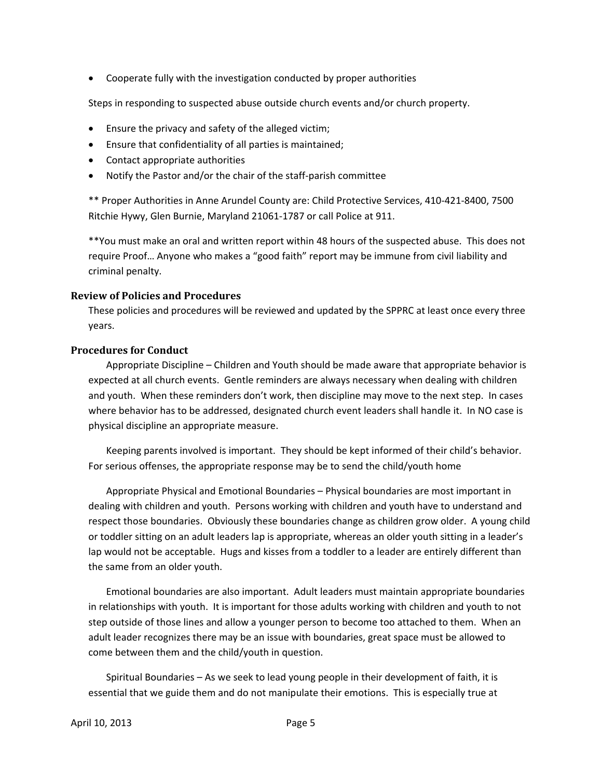Cooperate fully with the investigation conducted by proper authorities

Steps in responding to suspected abuse outside church events and/or church property.

- Ensure the privacy and safety of the alleged victim;
- Ensure that confidentiality of all parties is maintained;
- Contact appropriate authorities
- Notify the Pastor and/or the chair of the staff‐parish committee

\*\* Proper Authorities in Anne Arundel County are: Child Protective Services, 410‐421‐8400, 7500 Ritchie Hywy, Glen Burnie, Maryland 21061‐1787 or call Police at 911.

\*\*You must make an oral and written report within 48 hours of the suspected abuse. This does not require Proof… Anyone who makes a "good faith" report may be immune from civil liability and criminal penalty.

#### **Review of Policies and Procedures**

These policies and procedures will be reviewed and updated by the SPPRC at least once every three years.

#### **Procedures for Conduct**

Appropriate Discipline – Children and Youth should be made aware that appropriate behavior is expected at all church events. Gentle reminders are always necessary when dealing with children and youth. When these reminders don't work, then discipline may move to the next step. In cases where behavior has to be addressed, designated church event leaders shall handle it. In NO case is physical discipline an appropriate measure.

Keeping parents involved is important. They should be kept informed of their child's behavior. For serious offenses, the appropriate response may be to send the child/youth home

Appropriate Physical and Emotional Boundaries – Physical boundaries are most important in dealing with children and youth. Persons working with children and youth have to understand and respect those boundaries. Obviously these boundaries change as children grow older. A young child or toddler sitting on an adult leaders lap is appropriate, whereas an older youth sitting in a leader's lap would not be acceptable. Hugs and kisses from a toddler to a leader are entirely different than the same from an older youth.

Emotional boundaries are also important. Adult leaders must maintain appropriate boundaries in relationships with youth. It is important for those adults working with children and youth to not step outside of those lines and allow a younger person to become too attached to them. When an adult leader recognizes there may be an issue with boundaries, great space must be allowed to come between them and the child/youth in question.

Spiritual Boundaries – As we seek to lead young people in their development of faith, it is essential that we guide them and do not manipulate their emotions. This is especially true at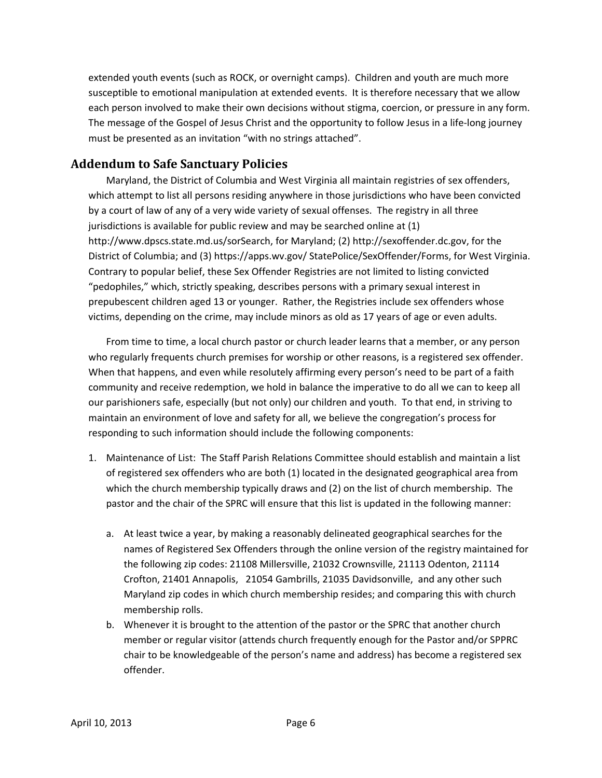extended youth events (such as ROCK, or overnight camps). Children and youth are much more susceptible to emotional manipulation at extended events. It is therefore necessary that we allow each person involved to make their own decisions without stigma, coercion, or pressure in any form. The message of the Gospel of Jesus Christ and the opportunity to follow Jesus in a life‐long journey must be presented as an invitation "with no strings attached".

## **Addendum to Safe Sanctuary Policies**

Maryland, the District of Columbia and West Virginia all maintain registries of sex offenders, which attempt to list all persons residing anywhere in those jurisdictions who have been convicted by a court of law of any of a very wide variety of sexual offenses. The registry in all three jurisdictions is available for public review and may be searched online at (1) http://www.dpscs.state.md.us/sorSearch, for Maryland; (2) http://sexoffender.dc.gov, for the District of Columbia; and (3) https://apps.wv.gov/ StatePolice/SexOffender/Forms, for West Virginia. Contrary to popular belief, these Sex Offender Registries are not limited to listing convicted "pedophiles," which, strictly speaking, describes persons with a primary sexual interest in prepubescent children aged 13 or younger. Rather, the Registries include sex offenders whose victims, depending on the crime, may include minors as old as 17 years of age or even adults.

From time to time, a local church pastor or church leader learns that a member, or any person who regularly frequents church premises for worship or other reasons, is a registered sex offender. When that happens, and even while resolutely affirming every person's need to be part of a faith community and receive redemption, we hold in balance the imperative to do all we can to keep all our parishioners safe, especially (but not only) our children and youth. To that end, in striving to maintain an environment of love and safety for all, we believe the congregation's process for responding to such information should include the following components:

- 1. Maintenance of List: The Staff Parish Relations Committee should establish and maintain a list of registered sex offenders who are both (1) located in the designated geographical area from which the church membership typically draws and (2) on the list of church membership. The pastor and the chair of the SPRC will ensure that this list is updated in the following manner:
	- a. At least twice a year, by making a reasonably delineated geographical searches for the names of Registered Sex Offenders through the online version of the registry maintained for the following zip codes: 21108 Millersville, 21032 Crownsville, 21113 Odenton, 21114 Crofton, 21401 Annapolis, 21054 Gambrills, 21035 Davidsonville, and any other such Maryland zip codes in which church membership resides; and comparing this with church membership rolls.
	- b. Whenever it is brought to the attention of the pastor or the SPRC that another church member or regular visitor (attends church frequently enough for the Pastor and/or SPPRC chair to be knowledgeable of the person's name and address) has become a registered sex offender.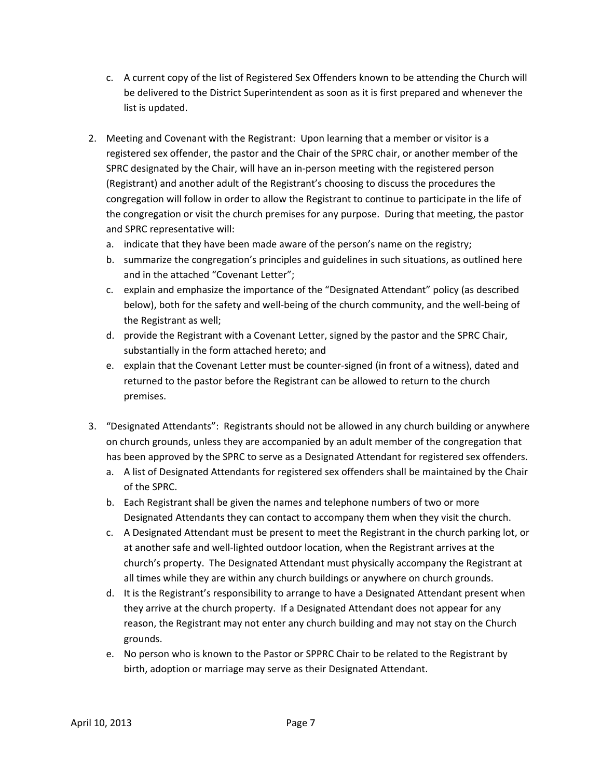- c. A current copy of the list of Registered Sex Offenders known to be attending the Church will be delivered to the District Superintendent as soon as it is first prepared and whenever the list is updated.
- 2. Meeting and Covenant with the Registrant: Upon learning that a member or visitor is a registered sex offender, the pastor and the Chair of the SPRC chair, or another member of the SPRC designated by the Chair, will have an in‐person meeting with the registered person (Registrant) and another adult of the Registrant's choosing to discuss the procedures the congregation will follow in order to allow the Registrant to continue to participate in the life of the congregation or visit the church premises for any purpose. During that meeting, the pastor and SPRC representative will:
	- a. indicate that they have been made aware of the person's name on the registry;
	- b. summarize the congregation's principles and guidelines in such situations, as outlined here and in the attached "Covenant Letter";
	- c. explain and emphasize the importance of the "Designated Attendant" policy (as described below), both for the safety and well-being of the church community, and the well-being of the Registrant as well;
	- d. provide the Registrant with a Covenant Letter, signed by the pastor and the SPRC Chair, substantially in the form attached hereto; and
	- e. explain that the Covenant Letter must be counter‐signed (in front of a witness), dated and returned to the pastor before the Registrant can be allowed to return to the church premises.
- 3. "Designated Attendants": Registrants should not be allowed in any church building or anywhere on church grounds, unless they are accompanied by an adult member of the congregation that has been approved by the SPRC to serve as a Designated Attendant for registered sex offenders.
	- a. A list of Designated Attendants for registered sex offenders shall be maintained by the Chair of the SPRC.
	- b. Each Registrant shall be given the names and telephone numbers of two or more Designated Attendants they can contact to accompany them when they visit the church.
	- c. A Designated Attendant must be present to meet the Registrant in the church parking lot, or at another safe and well‐lighted outdoor location, when the Registrant arrives at the church's property. The Designated Attendant must physically accompany the Registrant at all times while they are within any church buildings or anywhere on church grounds.
	- d. It is the Registrant's responsibility to arrange to have a Designated Attendant present when they arrive at the church property. If a Designated Attendant does not appear for any reason, the Registrant may not enter any church building and may not stay on the Church grounds.
	- e. No person who is known to the Pastor or SPPRC Chair to be related to the Registrant by birth, adoption or marriage may serve as their Designated Attendant.